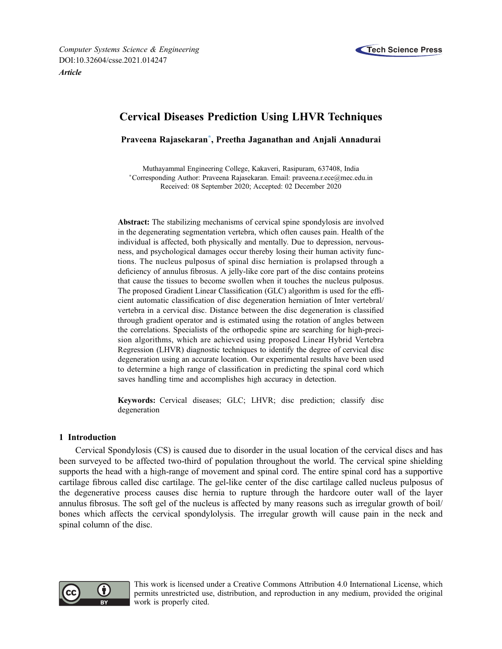



# Cervical Diseases Prediction Using LHVR Techniques

Praveena Rajasekaran[\\*,](#page-0-0) Preetha Jaganathan and Anjali Annadurai

<span id="page-0-0"></span>Muthayammal Engineering College, Kakaveri, Rasipuram, 637408, India Corresponding Author: Praveena Rajasekaran. Email: [praveena.r.ece@mec.edu.in](mailto:praveena.r.ece@mec.edu.in) Received: 08 September 2020; Accepted: 02 December 2020

Abstract: The stabilizing mechanisms of cervical spine spondylosis are involved in the degenerating segmentation vertebra, which often causes pain. Health of the individual is affected, both physically and mentally. Due to depression, nervousness, and psychological damages occur thereby losing their human activity functions. The nucleus pulposus of spinal disc herniation is prolapsed through a deficiency of annulus fibrosus. A jelly-like core part of the disc contains proteins that cause the tissues to become swollen when it touches the nucleus pulposus. The proposed Gradient Linear Classification (GLC) algorithm is used for the efficient automatic classification of disc degeneration herniation of Inter vertebral/ vertebra in a cervical disc. Distance between the disc degeneration is classified through gradient operator and is estimated using the rotation of angles between the correlations. Specialists of the orthopedic spine are searching for high-precision algorithms, which are achieved using proposed Linear Hybrid Vertebra Regression (LHVR) diagnostic techniques to identify the degree of cervical disc degeneration using an accurate location. Our experimental results have been used to determine a high range of classification in predicting the spinal cord which saves handling time and accomplishes high accuracy in detection.

Keywords: Cervical diseases; GLC; LHVR; disc prediction; classify disc degeneration

# 1 Introduction

Cervical Spondylosis (CS) is caused due to disorder in the usual location of the cervical discs and has been surveyed to be affected two-third of population throughout the world. The cervical spine shielding supports the head with a high-range of movement and spinal cord. The entire spinal cord has a supportive cartilage fibrous called disc cartilage. The gel-like center of the disc cartilage called nucleus pulposus of the degenerative process causes disc hernia to rupture through the hardcore outer wall of the layer annulus fibrosus. The soft gel of the nucleus is affected by many reasons such as irregular growth of boil/ bones which affects the cervical spondylolysis. The irregular growth will cause pain in the neck and spinal column of the disc.



This work is licensed under a Creative Commons Attribution 4.0 International License, which permits unrestricted use, distribution, and reproduction in any medium, provided the original work is properly cited.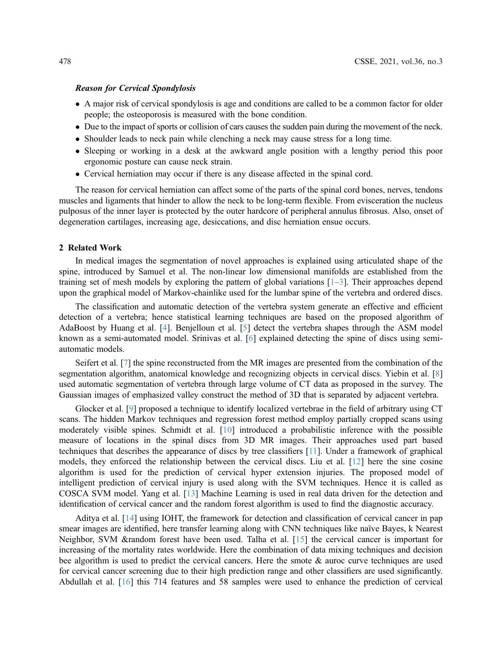#### Reason for Cervical Spondylosis

- A major risk of cervical spondylosis is age and conditions are called to be a common factor for older people; the osteoporosis is measured with the bone condition.
- Due to the impact of sports or collision of cars causes the sudden pain during the movement of the neck.
- Shoulder leads to neck pain while clenching a neck may cause stress for a long time.
- Sleeping or working in a desk at the awkward angle position with a lengthy period this poor ergonomic posture can cause neck strain.
- Cervical herniation may occur if there is any disease affected in the spinal cord.

The reason for cervical herniation can affect some of the parts of the spinal cord bones, nerves, tendons muscles and ligaments that hinder to allow the neck to be long-term flexible. From evisceration the nucleus pulposus of the inner layer is protected by the outer hardcore of peripheral annulus fibrosus. Also, onset of degeneration cartilages, increasing age, desiccations, and disc herniation ensue occurs.

# 2 Related Work

In medical images the segmentation of novel approaches is explained using articulated shape of the spine, introduced by Samuel et al. The non-linear low dimensional manifolds are established from the training set of mesh models by exploring the pattern of global variations [[1](#page-6-0)–[3](#page-6-1)]. Their approaches depend upon the graphical model of Markov-chainlike used for the lumbar spine of the vertebra and ordered discs.

The classification and automatic detection of the vertebra system generate an effective and efficient detection of a vertebra; hence statistical learning techniques are based on the proposed algorithm of AdaBoost by Huang et al. [\[4\]](#page-6-2). Benjelloun et al. [\[5\]](#page-6-3) detect the vertebra shapes through the ASM model known as a semi-automated model. Srinivas et al. [\[6\]](#page-6-4) explained detecting the spine of discs using semiautomatic models.

Seifert et al. [[7](#page-6-5)] the spine reconstructed from the MR images are presented from the combination of the segmentation algorithm, anatomical knowledge and recognizing objects in cervical discs. Yiebin et al. [\[8\]](#page-6-6) used automatic segmentation of vertebra through large volume of CT data as proposed in the survey. The Gaussian images of emphasized valley construct the method of 3D that is separated by adjacent vertebra.

Glocker et al. [\[9\]](#page-7-0) proposed a technique to identify localized vertebrae in the field of arbitrary using CT scans. The hidden Markov techniques and regression forest method employ partially cropped scans using moderately visible spines. Schmidt et al. [[10\]](#page-7-1) introduced a probabilistic inference with the possible measure of locations in the spinal discs from 3D MR images. Their approaches used part based techniques that describes the appearance of discs by tree classifiers [[11](#page-7-2)]. Under a framework of graphical models, they enforced the relationship between the cervical discs. Liu et al. [\[12](#page-7-3)] here the sine cosine algorithm is used for the prediction of cervical hyper extension injuries. The proposed model of intelligent prediction of cervical injury is used along with the SVM techniques. Hence it is called as COSCA SVM model. Yang et al. [\[13](#page-7-4)] Machine Learning is used in real data driven for the detection and identification of cervical cancer and the random forest algorithm is used to find the diagnostic accuracy.

Aditya et al. [[14\]](#page-7-5) using IOHT, the framework for detection and classification of cervical cancer in pap smear images are identified, here transfer learning along with CNN techniques like naïve Bayes, k Nearest Neighbor, SVM &random forest have been used. Talha et al. [[15\]](#page-7-6) the cervical cancer is important for increasing of the mortality rates worldwide. Here the combination of data mixing techniques and decision bee algorithm is used to predict the cervical cancers. Here the smote & auroc curve techniques are used for cervical cancer screening due to their high prediction range and other classifiers are used significantly. Abdullah et al. [\[16](#page-7-7)] this 714 features and 58 samples were used to enhance the prediction of cervical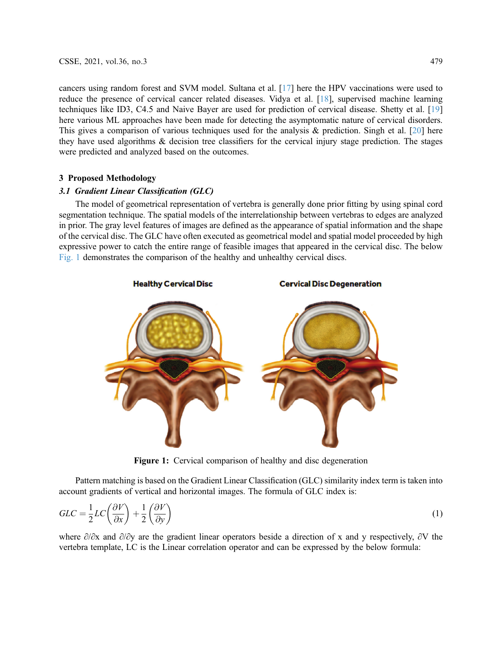cancers using random forest and SVM model. Sultana et al. [\[17](#page-7-8)] here the HPV vaccinations were used to reduce the presence of cervical cancer related diseases. Vidya et al. [\[18](#page-7-9)], supervised machine learning techniques like ID3, C4.5 and Naive Bayer are used for prediction of cervical disease. Shetty et al. [[19\]](#page-7-10) here various ML approaches have been made for detecting the asymptomatic nature of cervical disorders. This gives a comparison of various techniques used for the analysis  $\&$  prediction. Singh et al. [\[20](#page-7-11)] here they have used algorithms & decision tree classifiers for the cervical injury stage prediction. The stages were predicted and analyzed based on the outcomes.

### 3 Proposed Methodology

#### 3.1 Gradient Linear Classification (GLC)

The model of geometrical representation of vertebra is generally done prior fitting by using spinal cord segmentation technique. The spatial models of the interrelationship between vertebras to edges are analyzed in prior. The gray level features of images are defined as the appearance of spatial information and the shape of the cervical disc. The GLC have often executed as geometrical model and spatial model proceeded by high expressive power to catch the entire range of feasible images that appeared in the cervical disc. The below [Fig. 1](#page-2-0) demonstrates the comparison of the healthy and unhealthy cervical discs.

<span id="page-2-0"></span>

Figure 1: Cervical comparison of healthy and disc degeneration

Pattern matching is based on the Gradient Linear Classification (GLC) similarity index term is taken into account gradients of vertical and horizontal images. The formula of GLC index is:

$$
GLC = \frac{1}{2}LC\left(\frac{\partial V}{\partial x}\right) + \frac{1}{2}\left(\frac{\partial V}{\partial y}\right) \tag{1}
$$

where ∂/∂x and ∂/∂y are the gradient linear operators beside a direction of x and y respectively, ∂V the vertebra template, LC is the Linear correlation operator and can be expressed by the below formula: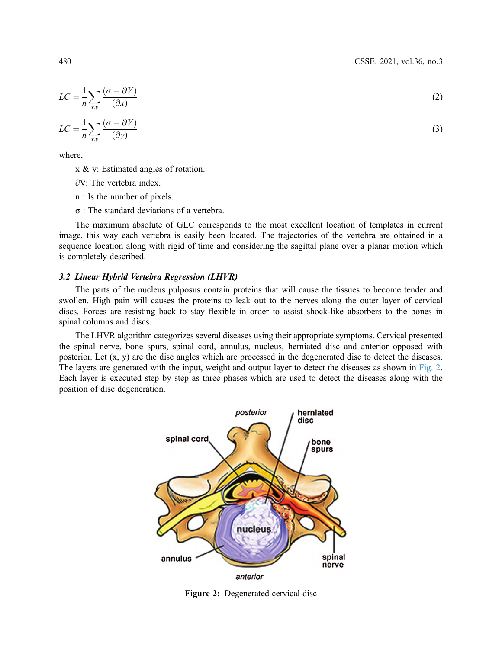$$
LC = \frac{1}{n} \sum_{x,y} \frac{(\sigma - \partial V)}{(\partial x)}
$$
  
1 - (\sigma - \partial V) (2)

$$
LC = \frac{1}{n} \sum_{xy} \frac{(\sigma - \partial V)}{(\partial y)}
$$
(3)

where,

x & y: Estimated angles of rotation.

∂V: The vertebra index.

n : Is the number of pixels.

σ : The standard deviations of a vertebra.

The maximum absolute of GLC corresponds to the most excellent location of templates in current image, this way each vertebra is easily been located. The trajectories of the vertebra are obtained in a sequence location along with rigid of time and considering the sagittal plane over a planar motion which is completely described.

#### 3.2 Linear Hybrid Vertebra Regression (LHVR)

The parts of the nucleus pulposus contain proteins that will cause the tissues to become tender and swollen. High pain will causes the proteins to leak out to the nerves along the outer layer of cervical discs. Forces are resisting back to stay flexible in order to assist shock-like absorbers to the bones in spinal columns and discs.

<span id="page-3-0"></span>The LHVR algorithm categorizes several diseases using their appropriate symptoms. Cervical presented the spinal nerve, bone spurs, spinal cord, annulus, nucleus, herniated disc and anterior opposed with posterior. Let (x, y) are the disc angles which are processed in the degenerated disc to detect the diseases. The layers are generated with the input, weight and output layer to detect the diseases as shown in [Fig. 2](#page-3-0). Each layer is executed step by step as three phases which are used to detect the diseases along with the position of disc degeneration.



Figure 2: Degenerated cervical disc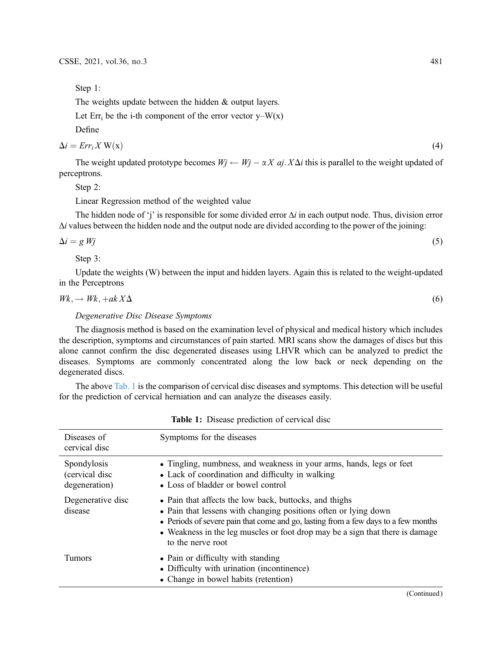Step 1:

The weights update between the hidden & output layers.

Let  $Err_i$  be the i-th component of the error vector y–W(x)

Define

$$
\Delta i = Err_i X W(\mathbf{x})
$$
\n<sup>(4)</sup>

The weight updated prototype becomes  $Wj \leftarrow Wj - \alpha X$  aj.  $X\Delta i$  this is parallel to the weight updated of perceptrons.

Step 2:

Linear Regression method of the weighted value

The hidden node of 'j' is responsible for some divided error  $\Delta i$  in each output node. Thus, division error  $\Delta i$  values between the hidden node and the output node are divided according to the power of the joining:

$$
\Delta i = g Wj \tag{5}
$$

Step 3:

Update the weights (W) between the input and hidden layers. Again this is related to the weight-updated in the Perceptrons

$$
Wk, \to Wk, +akX\Delta \tag{6}
$$

# Degenerative Disc Disease Symptoms

The diagnosis method is based on the examination level of physical and medical history which includes the description, symptoms and circumstances of pain started. MRI scans show the damages of discs but this alone cannot confirm the disc degenerated diseases using LHVR which can be analyzed to predict the diseases. Symptoms are commonly concentrated along the low back or neck depending on the degenerated discs.

The above [Tab. 1](#page-4-0) is the comparison of cervical disc diseases and symptoms. This detection will be useful for the prediction of cervical herniation and can analyze the diseases easily.

<span id="page-4-0"></span>

| Diseases of<br>cervical disc                   | Symptoms for the diseases                                                                                                                                                                                                                                                                                             |
|------------------------------------------------|-----------------------------------------------------------------------------------------------------------------------------------------------------------------------------------------------------------------------------------------------------------------------------------------------------------------------|
| Spondylosis<br>(cervical disc<br>degeneration) | • Tingling, numbness, and weakness in your arms, hands, legs or feet<br>• Lack of coordination and difficulty in walking<br>• Loss of bladder or bowel control                                                                                                                                                        |
| Degenerative disc<br>disease                   | • Pain that affects the low back, buttocks, and thighs<br>• Pain that lessens with changing positions often or lying down<br>• Periods of severe pain that come and go, lasting from a few days to a few months<br>• Weakness in the leg muscles or foot drop may be a sign that there is damage<br>to the nerve root |
| Tumors                                         | • Pain or difficulty with standing<br>• Difficulty with urination (incontinence)<br>• Change in bowel habits (retention)                                                                                                                                                                                              |

Table 1: Disease prediction of cervical disc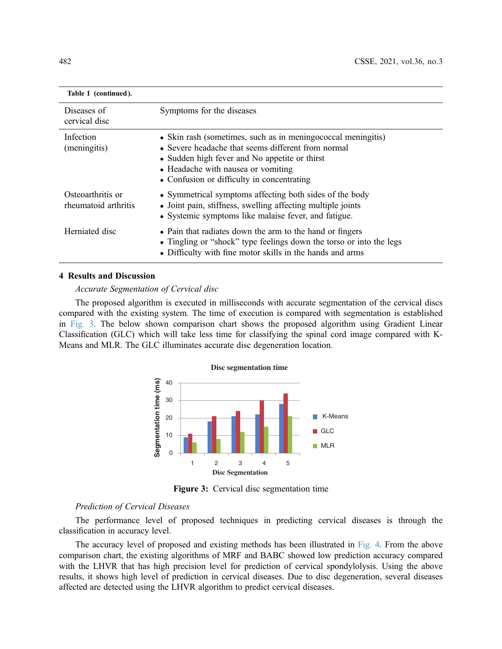| Table 1 (continued).                      |                                                                                                                                                                                                                                                         |
|-------------------------------------------|---------------------------------------------------------------------------------------------------------------------------------------------------------------------------------------------------------------------------------------------------------|
| Diseases of<br>cervical disc              | Symptoms for the diseases                                                                                                                                                                                                                               |
| Infection<br>(meningitis)                 | • Skin rash (sometimes, such as in meningococcal meningitis)<br>• Severe headache that seems different from normal<br>• Sudden high fever and No appetite or thirst<br>• Headache with nausea or vomiting<br>• Confusion or difficulty in concentrating |
| Osteoarthritis or<br>rheumatoid arthritis | • Symmetrical symptoms affecting both sides of the body<br>• Joint pain, stiffness, swelling affecting multiple joints<br>• Systemic symptoms like malaise fever, and fatigue.                                                                          |
| Herniated disc                            | • Pain that radiates down the arm to the hand or fingers<br>• Tingling or "shock" type feelings down the torso or into the legs<br>• Difficulty with fine motor skills in the hands and arms                                                            |

# 4 Results and Discussion

# Accurate Segmentation of Cervical disc

<span id="page-5-0"></span>The proposed algorithm is executed in milliseconds with accurate segmentation of the cervical discs compared with the existing system. The time of execution is compared with segmentation is established in [Fig. 3](#page-5-0). The below shown comparison chart shows the proposed algorithm using Gradient Linear Classification (GLC) which will take less time for classifying the spinal cord image compared with K-Means and MLR. The GLC illuminates accurate disc degeneration location.



Figure 3: Cervical disc segmentation time

## Prediction of Cervical Diseases

The performance level of proposed techniques in predicting cervical diseases is through the classification in accuracy level.

The accuracy level of proposed and existing methods has been illustrated in [Fig. 4](#page-6-7). From the above comparison chart, the existing algorithms of MRF and BABC showed low prediction accuracy compared with the LHVR that has high precision level for prediction of cervical spondylolysis. Using the above results, it shows high level of prediction in cervical diseases. Due to disc degeneration, several diseases affected are detected using the LHVR algorithm to predict cervical diseases.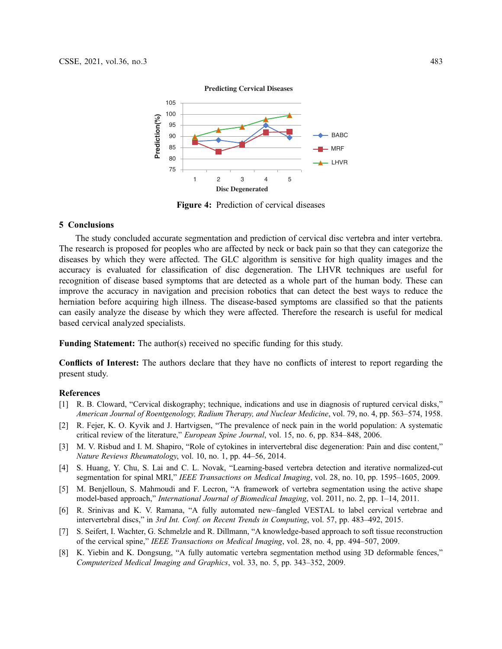<span id="page-6-7"></span>

Figure 4: Prediction of cervical diseases

## 5 Conclusions

The study concluded accurate segmentation and prediction of cervical disc vertebra and inter vertebra. The research is proposed for peoples who are affected by neck or back pain so that they can categorize the diseases by which they were affected. The GLC algorithm is sensitive for high quality images and the accuracy is evaluated for classification of disc degeneration. The LHVR techniques are useful for recognition of disease based symptoms that are detected as a whole part of the human body. These can improve the accuracy in navigation and precision robotics that can detect the best ways to reduce the herniation before acquiring high illness. The disease-based symptoms are classified so that the patients can easily analyze the disease by which they were affected. Therefore the research is useful for medical based cervical analyzed specialists.

Funding Statement: The author(s) received no specific funding for this study.

Conflicts of Interest: The authors declare that they have no conflicts of interest to report regarding the present study.

#### References

- <span id="page-6-0"></span>[1] R. B. Cloward, "Cervical diskography; technique, indications and use in diagnosis of ruptured cervical disks," American Journal of Roentgenology, Radium Therapy, and Nuclear Medicine, vol. 79, no. 4, pp. 563–574, 1958.
- [2] R. Fejer, K. O. Kyvik and J. Hartvigsen, "The prevalence of neck pain in the world population: A systematic critical review of the literature," European Spine Journal, vol. 15, no. 6, pp. 834–848, 2006.
- <span id="page-6-1"></span>[3] M. V. Risbud and I. M. Shapiro, "Role of cytokines in intervertebral disc degeneration: Pain and disc content," Nature Reviews Rheumatology, vol. 10, no. 1, pp. 44–56, 2014.
- <span id="page-6-2"></span>[4] S. Huang, Y. Chu, S. Lai and C. L. Novak, "Learning-based vertebra detection and iterative normalized-cut segmentation for spinal MRI," IEEE Transactions on Medical Imaging, vol. 28, no. 10, pp. 1595–1605, 2009.
- <span id="page-6-3"></span>[5] M. Benjelloun, S. Mahmoudi and F. Lecron, "A framework of vertebra segmentation using the active shape model-based approach," International Journal of Biomedical Imaging, vol. 2011, no. 2, pp. 1–14, 2011.
- <span id="page-6-4"></span>[6] R. Srinivas and K. V. Ramana, "A fully automated new–fangled VESTAL to label cervical vertebrae and intervertebral discs," in 3rd Int. Conf. on Recent Trends in Computing, vol. 57, pp. 483–492, 2015.
- <span id="page-6-5"></span>[7] S. Seifert, I. Wachter, G. Schmelzle and R. Dillmann, "A knowledge-based approach to soft tissue reconstruction of the cervical spine," IEEE Transactions on Medical Imaging, vol. 28, no. 4, pp. 494–507, 2009.
- <span id="page-6-6"></span>[8] K. Yiebin and K. Dongsung, "A fully automatic vertebra segmentation method using 3D deformable fences," Computerized Medical Imaging and Graphics, vol. 33, no. 5, pp. 343–352, 2009.